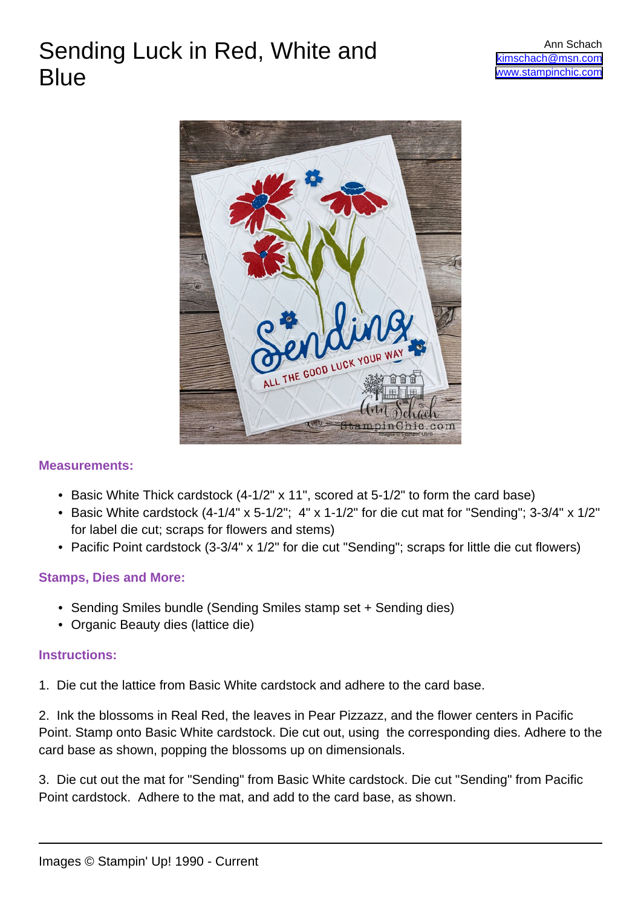# Sending Luck in Red, White and **Blue**



### **Measurements:**

- Basic White Thick cardstock (4-1/2" x 11", scored at 5-1/2" to form the card base)
- Basic White cardstock (4-1/4" x 5-1/2"; 4" x 1-1/2" for die cut mat for "Sending"; 3-3/4" x 1/2" for label die cut; scraps for flowers and stems)
- Pacific Point cardstock (3-3/4" x 1/2" for die cut "Sending"; scraps for little die cut flowers)

## **Stamps, Dies and More:**

- Sending Smiles bundle (Sending Smiles stamp set + Sending dies)
- Organic Beauty dies (lattice die)

### **Instructions:**

1. Die cut the lattice from Basic White cardstock and adhere to the card base.

2. Ink the blossoms in Real Red, the leaves in Pear Pizzazz, and the flower centers in Pacific Point. Stamp onto Basic White cardstock. Die cut out, using the corresponding dies. Adhere to the card base as shown, popping the blossoms up on dimensionals.

3. Die cut out the mat for "Sending" from Basic White cardstock. Die cut "Sending" from Pacific Point cardstock. Adhere to the mat, and add to the card base, as shown.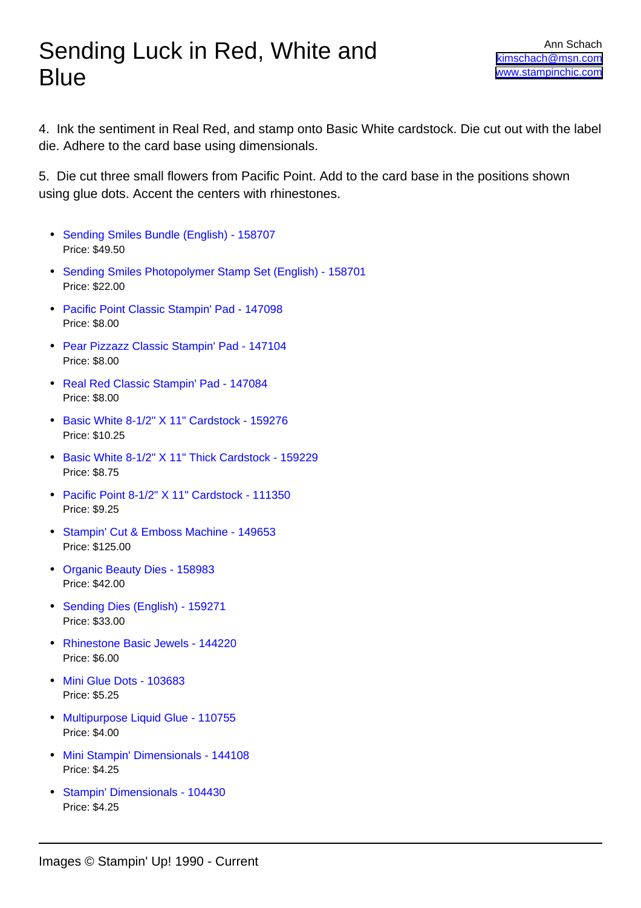4. Ink the sentiment in Real Red, and stamp onto Basic White cardstock. Die cut out with the label die. Adhere to the card base using dimensionals.

5. Die cut three small flowers from Pacific Point. Add to the card base in the positions shown using glue dots. Accent the centers with rhinestones.

- [Sending Smiles Bundle \(English\) 158707](https://www.stampinup.com/products/sending-smiles-bundle-english?dbwsdemoid=2045876) Price: \$49.50
- [Sending Smiles Photopolymer Stamp Set \(English\) 158701](https://www.stampinup.com/products/sending-smiles-photopolymer-stamp-set-english?dbwsdemoid=2045876) Price: \$22.00
- [Pacific Point Classic Stampin' Pad 147098](https://www.stampinup.com/products/classic-stampin-pad-pacific-point?dbwsdemoid=2045876) Price: \$8.00
- [Pear Pizzazz Classic Stampin' Pad 147104](https://www.stampinup.com/products/classic-stampin-pad-pear-pizzazz?dbwsdemoid=2045876) Price: \$8.00
- [Real Red Classic Stampin' Pad 147084](https://www.stampinup.com/products/classic-stampin-pad-real-red?dbwsdemoid=2045876) Price: \$8.00
- [Basic White 8-1/2" X 11" Cardstock 159276](https://www.stampinup.com/products/basic-white-8-1-2-x-11-cardstock?dbwsdemoid=2045876) Price: \$10.25
- [Basic White 8-1/2" X 11" Thick Cardstock 159229](https://www.stampinup.com/products/basic-white-8-1-2-x-11-thick-cardstock?dbwsdemoid=2045876) Price: \$8.75
- [Pacific Point 8-1/2" X 11" Cardstock 111350](https://www.stampinup.com/products/cardstock-8-1-2-x-11-pacific-point?dbwsdemoid=2045876) Price: \$9.25
- [Stampin' Cut & Emboss Machine 149653](https://www.stampinup.com/products/stampin-cut-emboss-machine?dbwsdemoid=2045876) Price: \$125.00
- [Organic Beauty Dies 158983](https://www.stampinup.com/products/organic-beauty-dies?dbwsdemoid=2045876) Price: \$42.00
- [Sending Dies \(English\) 159271](https://www.stampinup.com/products/sending-dies?dbwsdemoid=2045876) Price: \$33.00
- [Rhinestone Basic Jewels 144220](https://www.stampinup.com/products/basic-rhinestone-jewels?dbwsdemoid=2045876) Price: \$6.00
- [Mini Glue Dots 103683](https://www.stampinup.com/products/mini-glue-dots?dbwsdemoid=2045876) Price: \$5.25
- [Multipurpose Liquid Glue 110755](https://www.stampinup.com/products/glue-liquid-multipurpose?dbwsdemoid=2045876) Price: \$4.00
- [Mini Stampin' Dimensionals 144108](https://www.stampinup.com/products/stampin-dimensionals-mini?dbwsdemoid=2045876) Price: \$4.25
- [Stampin' Dimensionals 104430](https://www.stampinup.com/products/stampin-dimensionals?dbwsdemoid=2045876) Price: \$4.25